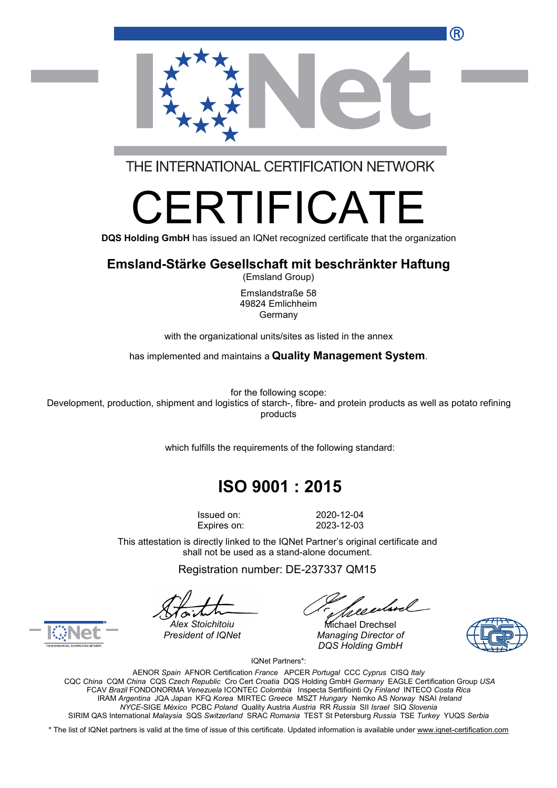

THE INTERNATIONAL CERTIFICATION NETWORK

# RTIFICA

**DQS Holding GmbH** has issued an IQNet recognized certificate that the organization

### **Emsland-Stärke Gesellschaft mit beschränkter Haftung**

(Emsland Group)

Emslandstraße 58 49824 Emlichheim Germany

with the organizational units/sites as listed in the annex

has implemented and maintains a **Quality Management System**.

for the following scope: Development, production, shipment and logistics of starch-, fibre- and protein products as well as potato refining

products

which fulfills the requirements of the following standard:

## **ISO 9001 : 2015**

Issued on: 2020-12-04 Expires on: 2023-12-03

This attestation is directly linked to the IQNet Partner's original certificate and shall not be used as a stand-alone document.

Registration number: DE-237337 QM15

*President of IQNet Managing Director of DQS Holding GmbH*





*Alex Stoichitoiu* Michael Drechsel

IQNet Partners\*:

AENOR *Spain* AFNOR Certification *France* APCER *Portugal* CCC *Cyprus* CISQ *Italy* CQC *China* CQM *China* CQS *Czech Republic* Cro Cert *Croatia* DQS Holding GmbH *Germany* EAGLE Certification Group *USA* FCAV *Brazil* FONDONORMA *Venezuela* ICONTEC *Colombia* Inspecta Sertifiointi Oy *Finland* INTECO *Costa Rica* IRAM *Argentina* JQA *Japan* KFQ *Korea* MIRTEC *Greece* MSZT *Hungary* Nemko AS *Norway* NSAI *Ireland NYCE-*SIGE *México* PCBC *Poland* Quality Austria *Austria* RR *Russia* SII *Israel* SIQ *Slovenia* SIRIM QAS International *Malaysia* SQS *Switzerland* SRAC *Romania* TEST St Petersburg *Russia* TSE *Turkey* YUQS *Serbia*

\* The list of IQNet partners is valid at the time of issue of this certificate. Updated information is available under www.ignet-certification.com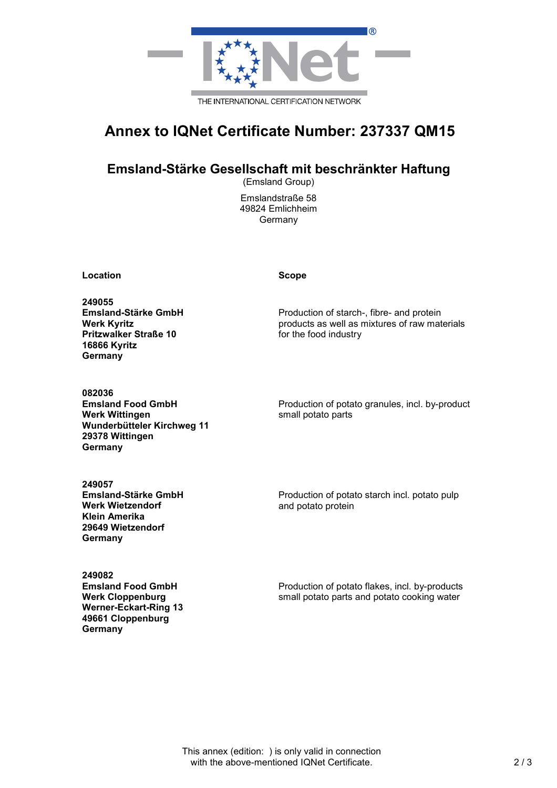

## **Annex to IQNet Certificate Number: 237337 QM15**

#### **Emsland-Stärke Gesellschaft mit beschränkter Haftung**

(Emsland Group)

Emslandstraße 58 49824 Emlichheim Germany

**Location Scope**

**249055 Emsland-Stärke GmbH Werk Kyritz Pritzwalker Straße 10 16866 Kyritz Germany**

Production of starch-, fibre- and protein products as well as mixtures of raw materials for the food industry

**082036 Emsland Food GmbH Werk Wittingen Wunderbütteler Kirchweg 11 29378 Wittingen Germany**

Production of potato granules, incl. by-product small potato parts

**249057 Emsland-Stärke GmbH Werk Wietzendorf Klein Amerika 29649 Wietzendorf Germany**

Production of potato starch incl. potato pulp and potato protein

**249082 Emsland Food GmbH Werk Cloppenburg Werner-Eckart-Ring 13 49661 Cloppenburg Germany**

Production of potato flakes, incl. by-products small potato parts and potato cooking water